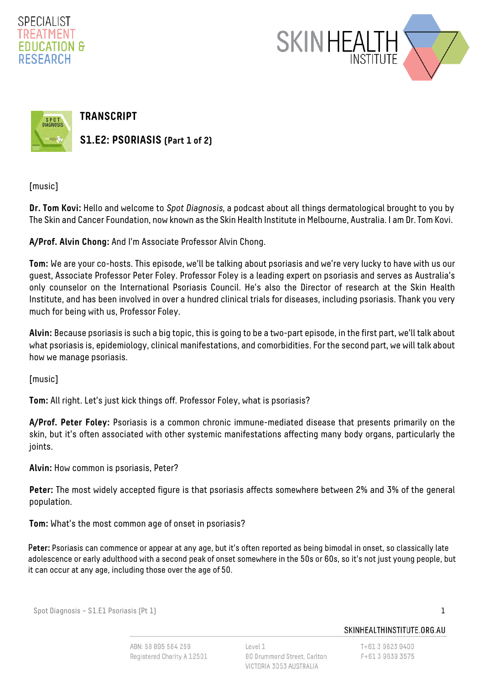





**TRANSCRIPT**

**S1.E2: PSORIASIS (Part 1 of 2)**

[music]

**Dr. Tom Kovi:** Hello and welcome to Spot Diagnosis, a podcast about all things dermatological brought to you by The Skin and Cancer Foundation, now known as the Skin Health Institute in Melbourne, Australia. I am Dr. Tom Kovi.

**A/Prof. Alvin Chong:** And I'm Associate Professor Alvin Chong.

**Tom:** We are your co-hosts. This episode, we'll be talking about psoriasis and we're very lucky to have with us our guest, Associate Professor Peter Foley. Professor Foley is a leading expert on psoriasis and serves as Australia's only counselor on the International Psoriasis Council. He's also the Director of research at the Skin Health Institute, and has been involved in over a hundred clinical trials for diseases, including psoriasis. Thank you very much for being with us, Professor Foley.

**Alvin:** Because psoriasis is such a big topic, this is going to be a two-part episode, in the first part, we'll talk about what psoriasis is, epidemiology, clinical manifestations, and comorbidities. For the second part, we will talk about how we manage psoriasis.

[music]

**Tom:** All right. Let's just kick things off. Professor Foley, what is psoriasis?

**A/Prof. Peter Foley:** Psoriasis is a common chronic immune-mediated disease that presents primarily on the skin, but it's often associated with other systemic manifestations affecting many body organs, particularly the joints.

**Alvin:** How common is psoriasis, Peter?

**Peter:** The most widely accepted figure is that psoriasis affects somewhere between 2% and 3% of the general population.

**Tom:** What's the most common age of onset in psoriasis?

P**eter:** Psoriasis can commence or appear at any age, but it's often reported as being bimodal in onset, so classically late adolescence or early adulthood with a second peak of onset somewhere in the 50s or 60s, so it's not just young people, but it can occur at any age, including those over the age of 50.

Spot Diagnosis – S1.E1 Psoriasis (Pt 1) 1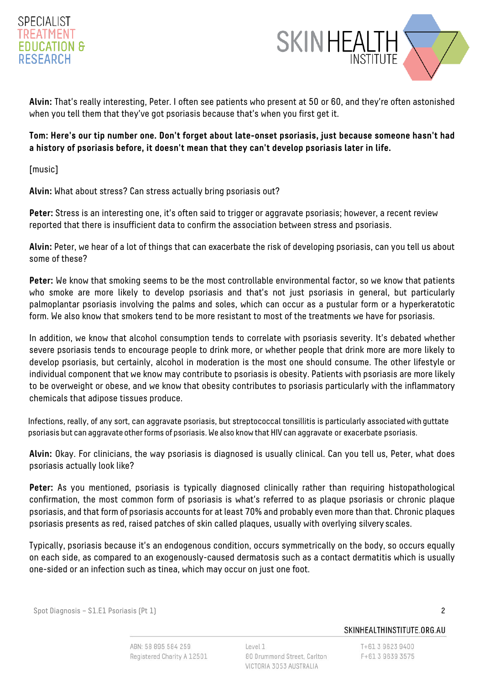



**Alvin:** That's really interesting, Peter. I often see patients who present at 50 or 60, and they're often astonished when you tell them that they've got psoriasis because that's when you first get it.

### **Tom: Here's our tip number one. Don't forget about late-onset psoriasis, just because someone hasn't had a history of psoriasis before, it doesn't mean that they can't develop psoriasis later in life.**

[music]

**Alvin:** What about stress? Can stress actually bring psoriasis out?

Peter: Stress is an interesting one, it's often said to trigger or aggravate psoriasis; however, a recent review reported that there is insufficient data to confirm the association between stress and psoriasis.

**Alvin:** Peter, we hear of a lot of things that can exacerbate the risk of developing psoriasis, can you tell us about some of these?

**Peter:** We know that smoking seems to be the most controllable environmental factor, so we know that patients who smoke are more likely to develop psoriasis and that's not just psoriasis in general, but particularly palmoplantar psoriasis involving the palms and soles, which can occur as a pustular form or a hyperkeratotic form. We also know that smokers tend to be more resistant to most of the treatments we have for psoriasis.

In addition, we know that alcohol consumption tends to correlate with psoriasis severity. It's debated whether severe psoriasis tends to encourage people to drink more, or whether people that drink more are more likely to develop psoriasis, but certainly, alcohol in moderation is the most one should consume. The other lifestyle or individual component that we know may contribute to psoriasis is obesity. Patients with psoriasis are more likely to be overweight or obese, and we know that obesity contributes to psoriasis particularly with the inflammatory chemicals that adipose tissues produce.

Infections, really, of any sort, can aggravate psoriasis, but streptococcal tonsillitis is particularly associated with guttate psoriasis but can aggravate other forms of psoriasis. We also know that HIV can aggravate or exacerbate psoriasis.

**Alvin:** Okay. For clinicians, the way psoriasis is diagnosed is usually clinical. Can you tell us, Peter, what does psoriasis actually look like?

**Peter:** As you mentioned, psoriasis is typically diagnosed clinically rather than requiring histopathological confirmation, the most common form of psoriasis is what's referred to as plaque psoriasis or chronic plaque psoriasis, and that form of psoriasis accounts for at least 70% and probably even more than that. Chronic plaques psoriasis presents as red, raised patches of skin called plaques, usually with overlying silvery scales.

Typically, psoriasis because it's an endogenous condition, occurs symmetrically on the body, so occurs equally on each side, as compared to an exogenously-caused dermatosis such as a contact dermatitis which is usually one-sided or an infection such as tinea, which may occur on just one foot.

Spot Diagnosis – S1.E1 Psoriasis (Pt 1) 2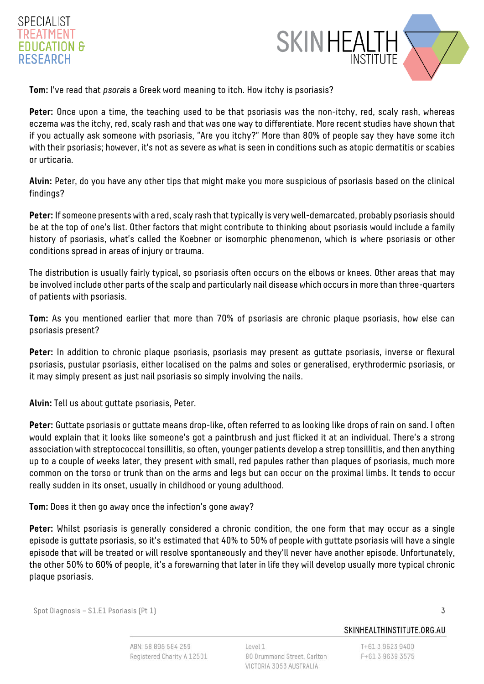# SPECIALIST TREATMENT **EDUCATION & RESEARCH**



**Tom:** I've read that psorais a Greek word meaning to itch. How itchy is psoriasis?

**Peter:** Once upon a time, the teaching used to be that psoriasis was the non-itchy, red, scaly rash, whereas eczema was the itchy, red, scaly rash and that was one way to differentiate. More recent studies have shown that if you actually ask someone with psoriasis, "Are you itchy?" More than 80% of people say they have some itch with their psoriasis; however, it's not as severe as what is seen in conditions such as atopic dermatitis or scabies or urticaria.

**Alvin:** Peter, do you have any other tips that might make you more suspicious of psoriasis based on the clinical findings?

**Peter:** If someone presents with a red, scaly rash that typically is very well-demarcated, probably psoriasis should be at the top of one's list. Other factors that might contribute to thinking about psoriasis would include a family history of psoriasis, what's called the Koebner or isomorphic phenomenon, which is where psoriasis or other conditions spread in areas of injury or trauma.

The distribution is usually fairly typical, so psoriasis often occurs on the elbows or knees. Other areas that may be involved include other parts of the scalp and particularly nail disease which occurs in more than three-quarters of patients with psoriasis.

**Tom:** As you mentioned earlier that more than 70% of psoriasis are chronic plaque psoriasis, how else can psoriasis present?

**Peter:** In addition to chronic plaque psoriasis, psoriasis may present as guttate psoriasis, inverse or flexural psoriasis, pustular psoriasis, either localised on the palms and soles or generalised, erythrodermic psoriasis, or it may simply present as just nail psoriasis so simply involving the nails.

**Alvin:** Tell us about guttate psoriasis, Peter.

**Peter:** Guttate psoriasis or guttate means drop-like, often referred to as looking like drops of rain on sand. I often would explain that it looks like someone's got a paintbrush and just flicked it at an individual. There's a strong association with streptococcal tonsillitis, so often, younger patients develop a strep tonsillitis, and then anything up to a couple of weeks later, they present with small, red papules rather than plaques of psoriasis, much more common on the torso or trunk than on the arms and legs but can occur on the proximal limbs. It tends to occur really sudden in its onset, usually in childhood or young adulthood.

**Tom:** Does it then go away once the infection's gone away?

Peter: Whilst psoriasis is generally considered a chronic condition, the one form that may occur as a single episode is guttate psoriasis, so it's estimated that 40% to 50% of people with guttate psoriasis will have a single episode that will be treated or will resolve spontaneously and they'll never have another episode. Unfortunately, the other 50% to 60% of people, it's a forewarning that later in life they will develop usually more typical chronic plaque psoriasis.

Spot Diagnosis – S1.E1 Psoriasis (Pt 1) 3

SKINHEALTHINSTITUTE.ORG.AU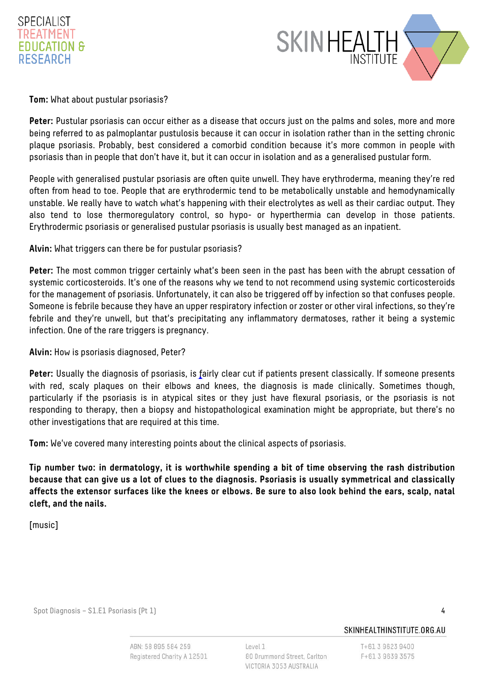



#### **Tom:** What about pustular psoriasis?

**Peter:** Pustular psoriasis can occur either as a disease that occurs just on the palms and soles, more and more being referred to as palmoplantar pustulosis because it can occur in isolation rather than in the setting chronic plaque psoriasis. Probably, best considered a comorbid condition because it's more common in people with psoriasis than in people that don't have it, but it can occur in isolation and as a generalised pustular form.

People with generalised pustular psoriasis are often quite unwell. They have erythroderma, meaning they're red often from head to toe. People that are erythrodermic tend to be metabolically unstable and hemodynamically unstable. We really have to watch what's happening with their electrolytes as well as their cardiac output. They also tend to lose thermoregulatory control, so hypo- or hyperthermia can develop in those patients. Erythrodermic psoriasis or generalised pustular psoriasis is usually best managed as an inpatient.

#### **Alvin:** What triggers can there be for pustular psoriasis?

**Peter:** The most common trigger certainly what's been seen in the past has been with the abrupt cessation of systemic corticosteroids. It's one of the reasons why we tend to not recommend using systemic corticosteroids for the management of psoriasis. Unfortunately, it can also be triggered off by infection so that confuses people. Someone is febrile because they have an upper respiratory infection or zoster or other viral infections, so they're febrile and they're unwell, but that's precipitating any inflammatory dermatoses, rather it being a systemic infection. One of the rare triggers is pregnancy.

### **Alvin:** How is psoriasis diagnosed, Peter?

**Peter:** Usually the diagnosis of psoriasis, is fairly clear cut if patients present classically. If someone presents with red, scaly plaques on their elbows and knees, the diagnosis is made clinically. Sometimes though, particularly if the psoriasis is in atypical sites or they just have flexural psoriasis, or the psoriasis is not responding to therapy, then a biopsy and histopathological examination might be appropriate, but there's no other investigations that are required at this time.

**Tom:** We've covered many interesting points about the clinical aspects of psoriasis.

**Tip number two: in dermatology, it is worthwhile spending a bit of time observing the rash distribution because that can give us a lot of clues to the diagnosis. Psoriasis is usually symmetrical and classically affects the extensor surfaces like the knees or elbows. Be sure to also look behind the ears, scalp, natal cleft, and the nails.**

[music]

Spot Diagnosis – S1.E1 Psoriasis (Pt 1) 4

SKINHFAI THINSTITUTE ORG.AU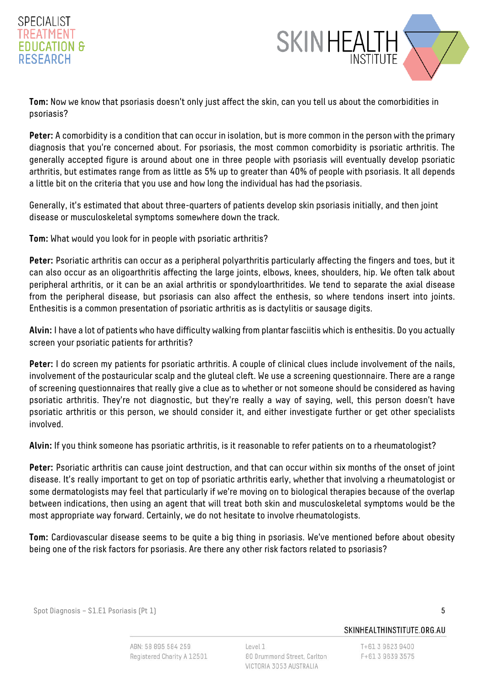# SPECIALIST TRFATMFNT EDUCATION & **RESEARCH**



**Tom:** Now we know that psoriasis doesn't only just affect the skin, can you tell us about the comorbidities in psoriasis?

**Peter:** A comorbidity is a condition that can occur in isolation, but is more common in the person with the primary diagnosis that you're concerned about. For psoriasis, the most common comorbidity is psoriatic arthritis. The generally accepted figure is around about one in three people with psoriasis will eventually develop psoriatic arthritis, but estimates range from as little as 5% up to greater than 40% of people with psoriasis. It all depends a little bit on the criteria that you use and how long the individual has had the psoriasis.

Generally, it's estimated that about three-quarters of patients develop skin psoriasis initially, and then joint disease or musculoskeletal symptoms somewhere down the track.

**Tom:** What would you look for in people with psoriatic arthritis?

**Peter:** Psoriatic arthritis can occur as a peripheral polyarthritis particularly affecting the fingers and toes, but it can also occur as an oligoarthritis affecting the large joints, elbows, knees, shoulders, hip. We often talk about peripheral arthritis, or it can be an axial arthritis or spondyloarthritides. We tend to separate the axial disease from the peripheral disease, but psoriasis can also affect the enthesis, so where tendons insert into joints. Enthesitis is a common presentation of psoriatic arthritis as is dactylitis or sausage digits.

**Alvin:** I have a lot of patients who have difficulty walking from plantar fasciitis which is enthesitis. Do you actually screen your psoriatic patients for arthritis?

**Peter:** I do screen my patients for psoriatic arthritis. A couple of clinical clues include involvement of the nails, involvement of the postauricular scalp and the gluteal cleft. We use a screening questionnaire. There are a range of screening questionnaires that really give a clue as to whether or not someone should be considered as having psoriatic arthritis. They're not diagnostic, but they're really a way of saying, well, this person doesn't have psoriatic arthritis or this person, we should consider it, and either investigate further or get other specialists involved.

**Alvin:** If you think someone has psoriatic arthritis, is it reasonable to refer patients on to a rheumatologist?

**Peter:** Psoriatic arthritis can cause joint destruction, and that can occur within six months of the onset of joint disease. It's really important to get on top of psoriatic arthritis early, whether that involving a rheumatologist or some dermatologists may feel that particularly if we're moving on to biological therapies because of the overlap between indications, then using an agent that will treat both skin and musculoskeletal symptoms would be the most appropriate way forward. Certainly, we do not hesitate to involve rheumatologists.

**Tom:** Cardiovascular disease seems to be quite a big thing in psoriasis. We've mentioned before about obesity being one of the risk factors for psoriasis. Are there any other risk factors related to psoriasis?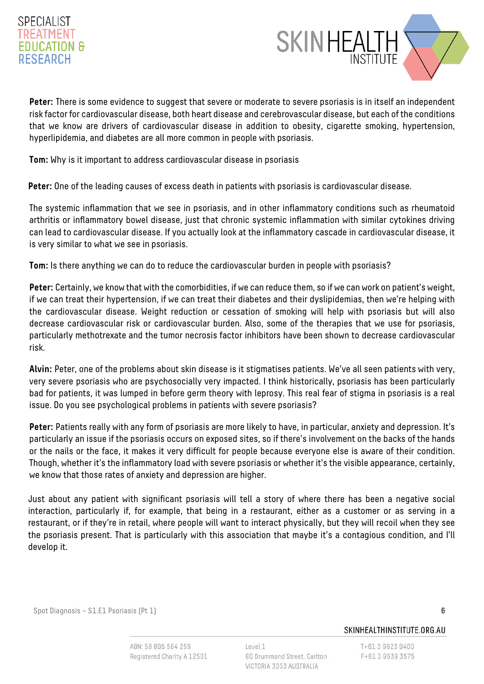# SPECIALIST TRFATMFN1 EDUCATION & **RESEARCH**



**Peter:** There is some evidence to suggest that severe or moderate to severe psoriasis is in itself an independent risk factor for cardiovascular disease, both heart disease and cerebrovascular disease, but each of the conditions that we know are drivers of cardiovascular disease in addition to obesity, cigarette smoking, hypertension, hyperlipidemia, and diabetes are all more common in people with psoriasis.

**Tom:** Why is it important to address cardiovascular disease in psoriasis

**Peter:** One of the leading causes of excess death in patients with psoriasis is cardiovascular disease.

The systemic inflammation that we see in psoriasis, and in other inflammatory conditions such as rheumatoid arthritis or inflammatory bowel disease, just that chronic systemic inflammation with similar cytokines driving can lead to cardiovascular disease. If you actually look at the inflammatory cascade in cardiovascular disease, it is very similar to what we see in psoriasis.

**Tom:** Is there anything we can do to reduce the cardiovascular burden in people with psoriasis?

**Peter:** Certainly, we know that with the comorbidities, if we can reduce them, so if we can work on patient's weight, if we can treat their hypertension, if we can treat their diabetes and their dyslipidemias, then we're helping with the cardiovascular disease. Weight reduction or cessation of smoking will help with psoriasis but will also decrease cardiovascular risk or cardiovascular burden. Also, some of the therapies that we use for psoriasis, particularly methotrexate and the tumor necrosis factor inhibitors have been shown to decrease cardiovascular risk.

**Alvin:** Peter, one of the problems about skin disease is it stigmatises patients. We've all seen patients with very, very severe psoriasis who are psychosocially very impacted. I think historically, psoriasis has been particularly bad for patients, it was lumped in before germ theory with leprosy. This real fear of stigma in psoriasis is a real issue. Do you see psychological problems in patients with severe psoriasis?

Peter: Patients really with any form of psoriasis are more likely to have, in particular, anxiety and depression. It's particularly an issue if the psoriasis occurs on exposed sites, so if there's involvement on the backs of the hands or the nails or the face, it makes it very difficult for people because everyone else is aware of their condition. Though, whether it's the inflammatory load with severe psoriasis or whether it's the visible appearance, certainly, we know that those rates of anxiety and depression are higher.

Just about any patient with significant psoriasis will tell a story of where there has been a negative social interaction, particularly if, for example, that being in a restaurant, either as a customer or as serving in a restaurant, or if they're in retail, where people will want to interact physically, but they will recoil when they see the psoriasis present. That is particularly with this association that maybe it's a contagious condition, and I'll develop it.

Spot Diagnosis – S1.E1 Psoriasis (Pt 1) 6